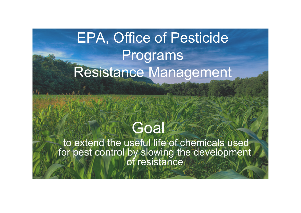#### EPA, Office of Pesticide Programs Resistance Management

#### **Goal**

 to extend the useful life of chemicals used for pest control by slowing the development of resistance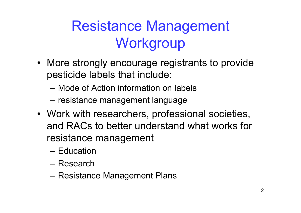## Resistance Management **Workgroup**

- More strongly encourage registrants to provide pesticide labels that include:
	- Mode of Action information on labels
	- resistance management language
- Work with researchers, professional societies, and RACs to better understand what works for resistance management
	- Education
	- Research
	- Resistance Management Plans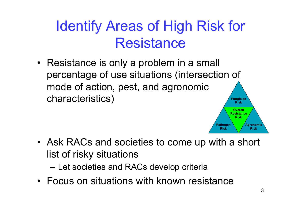### Identify Areas of High Risk for **Resistance**

• Resistance is only a problem in a small percentage of use situations (intersection of mode of action, pest, and agronomic characteristics) **Fungicide Risk**

- Ask RACs and societies to come up with a short list of risky situations
	- Let societies and RACs develop criteria
- Focus on situations with known resistance

**Agronomic Risk**

**Pathogen Risk**

**Overall Resistance Risk**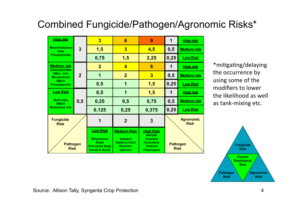#### Combined Fungicide/Pathogen/Agronomic Risks\*

|  | <b>High risk</b><br><b>Benzimidazoles</b><br>Qols<br><b>Phenylamides</b>                                                       | 3              | $\overline{3}$                                                                                        | 6                                                                                      | 9                                                                                                             | 1                              | <b>High risk</b>                |
|--|--------------------------------------------------------------------------------------------------------------------------------|----------------|-------------------------------------------------------------------------------------------------------|----------------------------------------------------------------------------------------|---------------------------------------------------------------------------------------------------------------|--------------------------------|---------------------------------|
|  |                                                                                                                                |                | 1,5                                                                                                   | $\overline{\mathbf{3}}$                                                                | 4,5                                                                                                           | 0,5                            | <b>Medium risk</b>              |
|  |                                                                                                                                |                | 0,75                                                                                                  | 1,5                                                                                    | 2,25                                                                                                          | 0,25                           | <b>Low Risk</b>                 |
|  | <b>Medium risk</b><br><b>Carboxanilides</b><br><b>DMIs / APs</b><br><b>Morpholines</b><br><b>MBI-D</b><br><b>Phenylpyrrols</b> | $\overline{2}$ | 2 <sup>1</sup>                                                                                        | $\overline{\mathbf{4}}$                                                                | 6                                                                                                             | 1                              | <b>High risk</b>                |
|  |                                                                                                                                |                | 1                                                                                                     | $\overline{2}$                                                                         | $\overline{\mathbf{3}}$                                                                                       | 0,5                            | <b>Medium risk</b>              |
|  |                                                                                                                                |                | 0,5                                                                                                   | 1                                                                                      | 1,5                                                                                                           | 0,25                           | <b>Low Risk</b>                 |
|  | <b>Low Risk</b><br><b>Multi sites</b><br><b>MBI-R</b><br>Resistance Ind.                                                       | 0,5            | 0,5                                                                                                   |                                                                                        | 1,5                                                                                                           | 1                              | <b>High risk</b>                |
|  |                                                                                                                                |                | 0,25                                                                                                  | 0,5                                                                                    | 0,75                                                                                                          | 0,5                            | <b>Medium risk</b>              |
|  |                                                                                                                                |                | 0,125                                                                                                 | 0,25                                                                                   | 0,375                                                                                                         | 0,25                           | <b>Low Risk</b>                 |
|  | <b>Fungicide</b><br><b>Risk</b><br><b>Pathogen</b><br><b>Risk</b>                                                              |                | 1                                                                                                     | $\overline{2}$                                                                         | 3                                                                                                             |                                | <b>Agronomic</b><br><b>Risk</b> |
|  |                                                                                                                                |                | <b>Low Risk</b><br><b>Rhizoctonia</b><br><b>Rusts</b><br>Soil borne fungi<br><b>Smuts &amp; Bunts</b> | <b>Medium Risk</b><br><b>Eyespot</b><br>Septoria tritici<br><b>Rhyncho-</b><br>sporium | <b>High Risk</b><br><b>Botrytis</b><br><b>Erysiphe</b><br><b>Pyricularia</b><br><b>Venturia</b><br>Plasmopara | <b>Pathogen</b><br><b>Risk</b> |                                 |

\*mitigating/delaying the occurrence by using some of the modifiers to lower the likelihood as well as tank-mixing etc.



Source: Allison Tally, Syngenta Crop Protection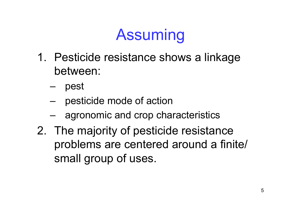# Assuming

- 1. Pesticide resistance shows a linkage between:
	- pest
	- pesticide mode of action
	- agronomic and crop characteristics
- 2. The majority of pesticide resistance problems are centered around a finite/ small group of uses.